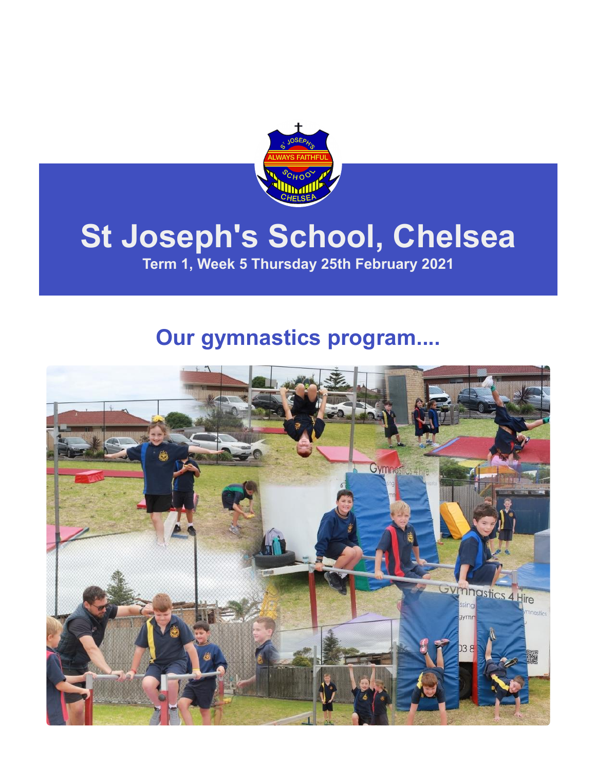

# **St Joseph's School, Chelsea**

**Term 1, Week 5 Thursday 25th February 2021**

### **Our gymnastics program....**

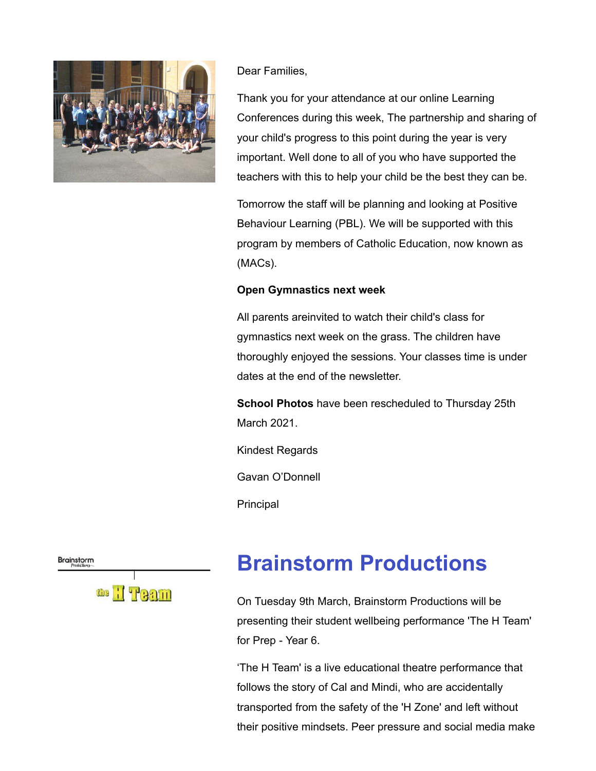

#### Dear Families,

Thank you for your attendance at our online Learning Conferences during this week, The partnership and sharing of your child's progress to this point during the year is very important. Well done to all of you who have supported the teachers with this to help your child be the best they can be.

Tomorrow the staff will be planning and looking at Positive Behaviour Learning (PBL). We will be supported with this program by members of Catholic Education, now known as (MACs).

#### **Open Gymnastics next week**

All parents areinvited to watch their child's class for gymnastics next week on the grass. The children have thoroughly enjoyed the sessions. Your classes time is under dates at the end of the newsletter.

**School Photos** have been rescheduled to Thursday 25th March 2021.

Kindest Regards

Gavan O'Donnell

Principal

Brainstorm



### **Brainstorm Productions**

On Tuesday 9th March, Brainstorm Productions will be presenting their student wellbeing performance 'The H Team' for Prep - Year 6.

'The H Team' is a live educational theatre performance that follows the story of Cal and Mindi, who are accidentally transported from the safety of the 'H Zone' and left without their positive mindsets. Peer pressure and social media make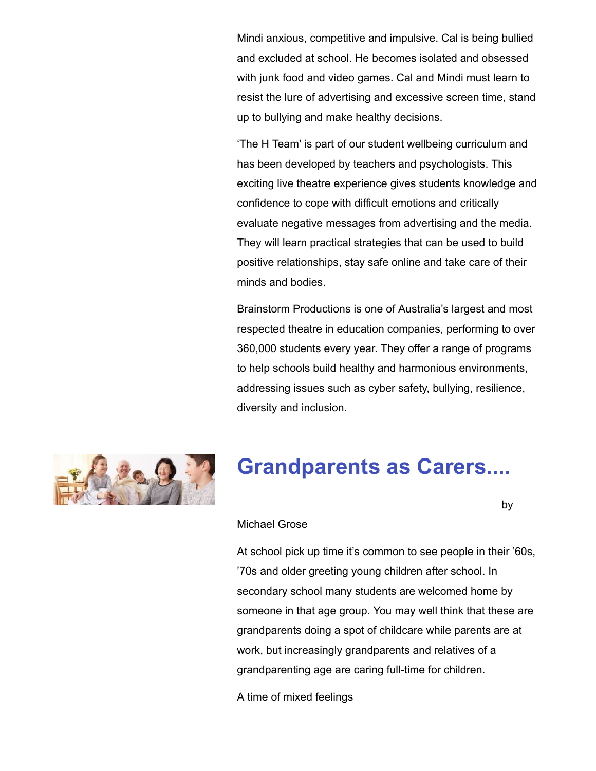Mindi anxious, competitive and impulsive. Cal is being bullied and excluded at school. He becomes isolated and obsessed with junk food and video games. Cal and Mindi must learn to resist the lure of advertising and excessive screen time, stand up to bullying and make healthy decisions.

'The H Team' is part of our student wellbeing curriculum and has been developed by teachers and psychologists. This exciting live theatre experience gives students knowledge and confidence to cope with difficult emotions and critically evaluate negative messages from advertising and the media. They will learn practical strategies that can be used to build positive relationships, stay safe online and take care of their minds and bodies.

Brainstorm Productions is one of Australia's largest and most respected theatre in education companies, performing to over 360,000 students every year. They offer a range of programs to help schools build healthy and harmonious environments, addressing issues such as cyber safety, bullying, resilience, diversity and inclusion.



### **Grandparents as Carers....**

by the contract of the contract of the contract of the contract of the contract of the contract of the contract of the contract of the contract of the contract of the contract of the contract of the contract of the contrac

#### Michael Grose

At school pick up time it's common to see people in their '60s, '70s and older greeting young children after school. In secondary school many students are welcomed home by someone in that age group. You may well think that these are grandparents doing a spot of childcare while parents are at work, but increasingly grandparents and relatives of a grandparenting age are caring full-time for children.

A time of mixed feelings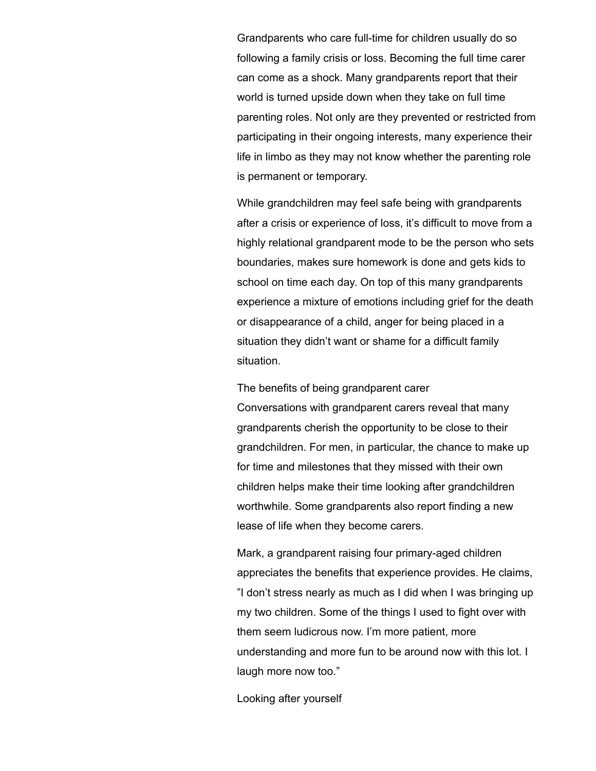Grandparents who care full-time for children usually do so following a family crisis or loss. Becoming the full time carer can come as a shock. Many grandparents report that their world is turned upside down when they take on full time parenting roles. Not only are they prevented or restricted from participating in their ongoing interests, many experience their life in limbo as they may not know whether the parenting role is permanent or temporary.

While grandchildren may feel safe being with grandparents after a crisis or experience of loss, it's difficult to move from a highly relational grandparent mode to be the person who sets boundaries, makes sure homework is done and gets kids to school on time each day. On top of this many grandparents experience a mixture of emotions including grief for the death or disappearance of a child, anger for being placed in a situation they didn't want or shame for a difficult family situation.

The benefits of being grandparent carer Conversations with grandparent carers reveal that many grandparents cherish the opportunity to be close to their grandchildren. For men, in particular, the chance to make up for time and milestones that they missed with their own children helps make their time looking after grandchildren worthwhile. Some grandparents also report finding a new lease of life when they become carers.

Mark, a grandparent raising four primary-aged children appreciates the benefits that experience provides. He claims, "I don't stress nearly as much as I did when I was bringing up my two children. Some of the things I used to fight over with them seem ludicrous now. I'm more patient, more understanding and more fun to be around now with this lot. I laugh more now too."

Looking after yourself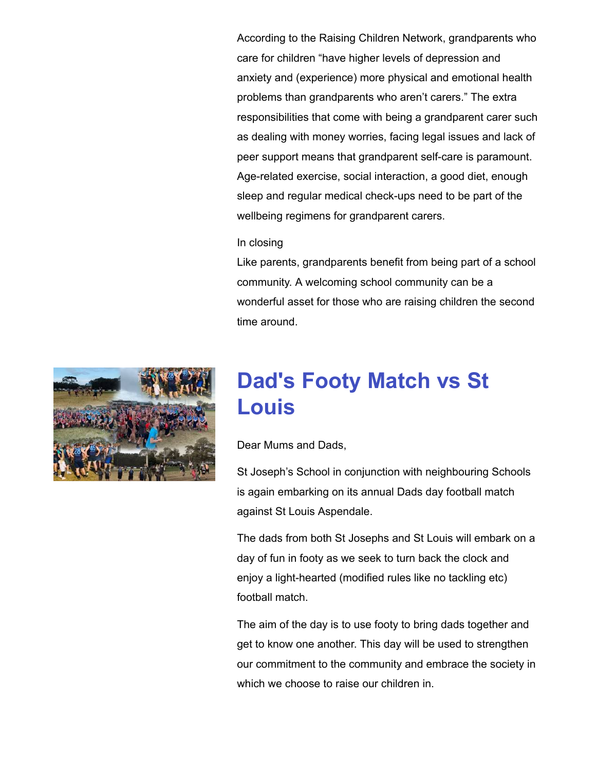According to the Raising Children Network, grandparents who care for children "have higher levels of depression and anxiety and (experience) more physical and emotional health problems than grandparents who aren't carers." The extra responsibilities that come with being a grandparent carer such as dealing with money worries, facing legal issues and lack of peer support means that grandparent self-care is paramount. Age-related exercise, social interaction, a good diet, enough sleep and regular medical check-ups need to be part of the wellbeing regimens for grandparent carers.

#### In closing

Like parents, grandparents benefit from being part of a school community. A welcoming school community can be a wonderful asset for those who are raising children the second time around.



### **Dad's Footy Match vs St Louis**

Dear Mums and Dads,

St Joseph's School in conjunction with neighbouring Schools is again embarking on its annual Dads day football match against St Louis Aspendale.

The dads from both St Josephs and St Louis will embark on a day of fun in footy as we seek to turn back the clock and enjoy a light-hearted (modified rules like no tackling etc) football match.

The aim of the day is to use footy to bring dads together and get to know one another. This day will be used to strengthen our commitment to the community and embrace the society in which we choose to raise our children in.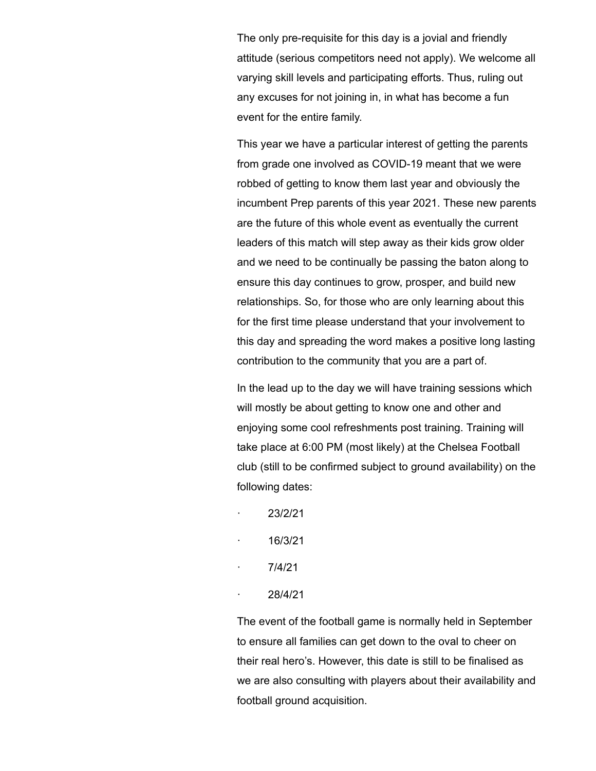The only pre-requisite for this day is a jovial and friendly attitude (serious competitors need not apply). We welcome all varying skill levels and participating efforts. Thus, ruling out any excuses for not joining in, in what has become a fun event for the entire family.

This year we have a particular interest of getting the parents from grade one involved as COVID-19 meant that we were robbed of getting to know them last year and obviously the incumbent Prep parents of this year 2021. These new parents are the future of this whole event as eventually the current leaders of this match will step away as their kids grow older and we need to be continually be passing the baton along to ensure this day continues to grow, prosper, and build new relationships. So, for those who are only learning about this for the first time please understand that your involvement to this day and spreading the word makes a positive long lasting contribution to the community that you are a part of.

In the lead up to the day we will have training sessions which will mostly be about getting to know one and other and enjoying some cool refreshments post training. Training will take place at 6:00 PM (most likely) at the Chelsea Football club (still to be confirmed subject to ground availability) on the following dates:

- · 23/2/21
- · 16/3/21
- · 7/4/21
- · 28/4/21

The event of the football game is normally held in September to ensure all families can get down to the oval to cheer on their real hero's. However, this date is still to be finalised as we are also consulting with players about their availability and football ground acquisition.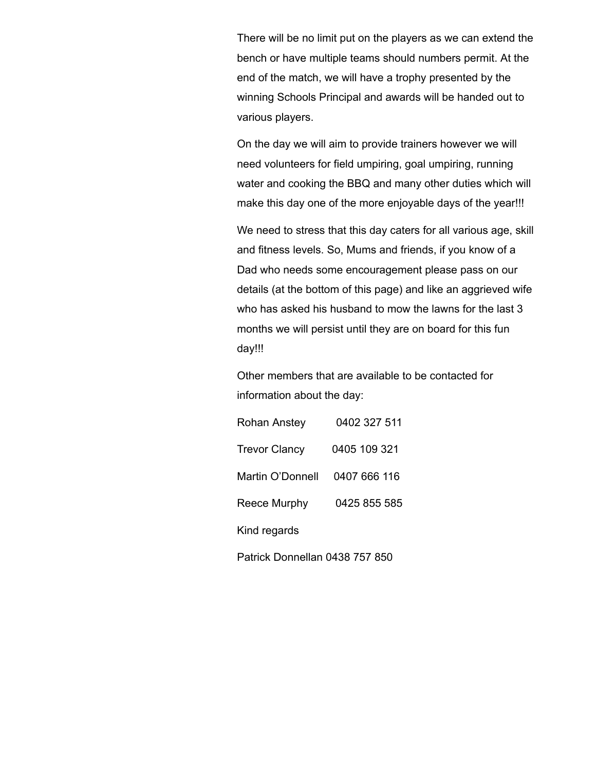There will be no limit put on the players as we can extend the bench or have multiple teams should numbers permit. At the end of the match, we will have a trophy presented by the winning Schools Principal and awards will be handed out to various players.

On the day we will aim to provide trainers however we will need volunteers for field umpiring, goal umpiring, running water and cooking the BBQ and many other duties which will make this day one of the more enjoyable days of the year!!!

We need to stress that this day caters for all various age, skill and fitness levels. So, Mums and friends, if you know of a Dad who needs some encouragement please pass on our details (at the bottom of this page) and like an aggrieved wife who has asked his husband to mow the lawns for the last 3 months we will persist until they are on board for this fun day!!!

Other members that are available to be contacted for information about the day:

| Rohan Anstey         | 0402 327 511 |
|----------------------|--------------|
| <b>Trevor Clancy</b> | 0405 109 321 |
| Martin O'Donnell     | 0407 666 116 |
| Reece Murphy         | 0425 855 585 |
| Kind regards         |              |
|                      |              |

Patrick Donnellan 0438 757 850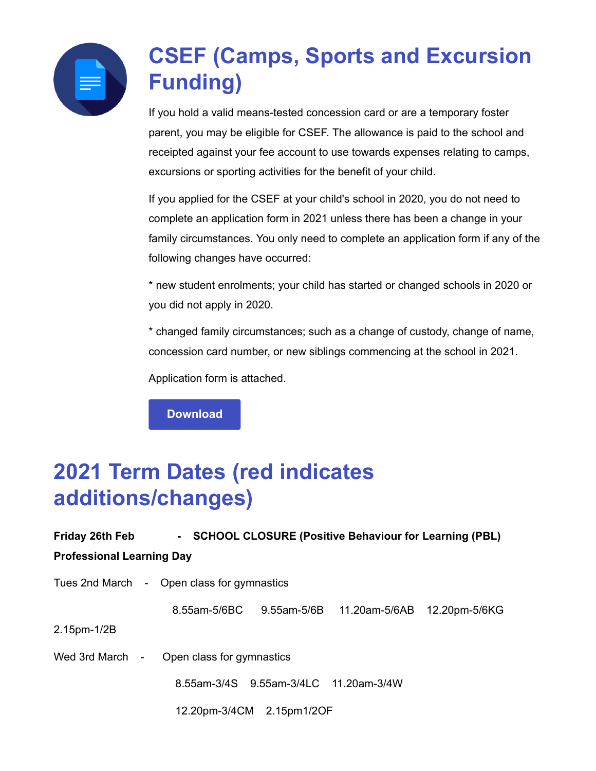

## **CSEF (Camps, Sports and Excursion Funding)**

If you hold a valid means-tested concession card or are a temporary foster parent, you may be eligible for CSEF. The allowance is paid to the school and receipted against your fee account to use towards expenses relating to camps, excursions or sporting activities for the benefit of your child.

If you applied for the CSEF at your child's school in 2020, you do not need to complete an application form in 2021 unless there has been a change in your family circumstances. You only need to complete an application form if any of the following changes have occurred:

\* new student enrolments; your child has started or changed schools in 2020 or you did not apply in 2020.

\* changed family circumstances; such as a change of custody, change of name, concession card number, or new siblings commencing at the school in 2021.

Application form is attached.

**[Download](https://enewsletter.coralcommunities.com/download?file=/file_module/17394/file_download_17394_3574211727.pdf)**

### **2021 Term Dates (red indicates additions/changes)**

| Friday 26th Feb                              | - SCHOOL CLOSURE (Positive Behaviour for Learning (PBL) |                                       |                                                      |  |
|----------------------------------------------|---------------------------------------------------------|---------------------------------------|------------------------------------------------------|--|
| <b>Professional Learning Day</b>             |                                                         |                                       |                                                      |  |
| Tues 2nd March - Open class for gymnastics   |                                                         |                                       |                                                      |  |
|                                              |                                                         |                                       | 8.55am-5/6BC 9.55am-5/6B 11.20am-5/6AB 12.20pm-5/6KG |  |
| 2.15pm-1/2B                                  |                                                         |                                       |                                                      |  |
| Wed 3rd March -<br>Open class for gymnastics |                                                         |                                       |                                                      |  |
|                                              |                                                         | 8.55am-3/4S 9.55am-3/4LC 11.20am-3/4W |                                                      |  |
|                                              |                                                         | 12.20pm-3/4CM 2.15pm1/2OF             |                                                      |  |